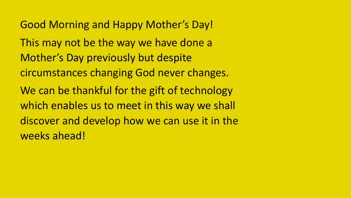Good Morning and Happy Mother's Day! This may not be the way we have done a Mother's Day previously but despite circumstances changing God never changes. We can be thankful for the gift of technology which enables us to meet in this way we shall discover and develop how we can use it in the weeks ahead!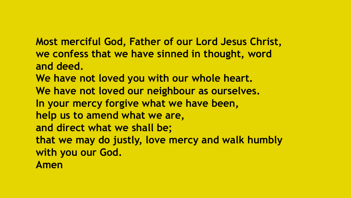**Most merciful God, Father of our Lord Jesus Christ, we confess that we have sinned in thought, word and deed. We have not loved you with our whole heart. We have not loved our neighbour as ourselves. In your mercy forgive what we have been, help us to amend what we are, and direct what we shall be; that we may do justly, love mercy and walk humbly with you our God. Amen**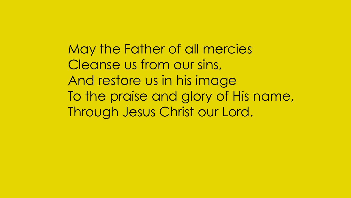May the Father of all mercies Cleanse us from our sins, And restore us in his image To the praise and glory of His name, Through Jesus Christ our Lord.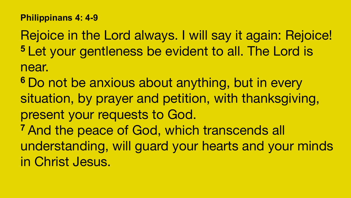## **Philippinans 4: 4-9**

Rejoice in the Lord always. I will say it again: Rejoice! **<sup>5</sup>**Let your gentleness be evident to all. The Lord is near.

- <sup>6</sup> Do not be anxious about anything, but in every situation, by prayer and petition, with thanksgiving, present your requests to God.
- **<sup>7</sup>**And the peace of God, which transcends all understanding, will guard your hearts and your minds
- in Christ Jesus.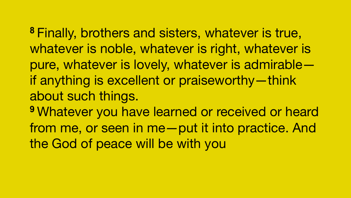**<sup>8</sup>**Finally, brothers and sisters, whatever is true, whatever is noble, whatever is right, whatever is pure, whatever is lovely, whatever is admirable if anything is excellent or praiseworthy—think about such things. **<sup>9</sup>**Whatever you have learned or received or heard from me, or seen in me—put it into practice. And the God of peace will be with you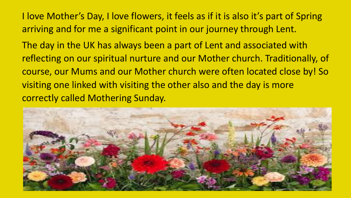I love Mother's Day, I love flowers, it feels as if it is also it's part of Spring arriving and for me a significant point in our journey through Lent.

The day in the UK has always been a part of Lent and associated with reflecting on our spiritual nurture and our Mother church. Traditionally, of course, our Mums and our Mother church were often located close by! So visiting one linked with visiting the other also and the day is more correctly called Mothering Sunday.

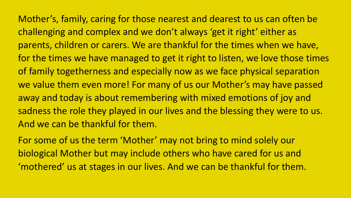Mother's, family, caring for those nearest and dearest to us can often be challenging and complex and we don't always 'get it right' either as parents, children or carers. We are thankful for the times when we have, for the times we have managed to get it right to listen, we love those times of family togetherness and especially now as we face physical separation we value them even more! For many of us our Mother's may have passed away and today is about remembering with mixed emotions of joy and sadness the role they played in our lives and the blessing they were to us. And we can be thankful for them.

For some of us the term 'Mother' may not bring to mind solely our biological Mother but may include others who have cared for us and 'mothered' us at stages in our lives. And we can be thankful for them.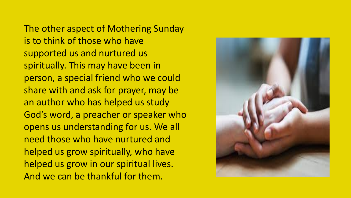The other aspect of Mothering Sunday is to think of those who have supported us and nurtured us spiritually. This may have been in person, a special friend who we could share with and ask for prayer, may be an author who has helped us study God's word, a preacher or speaker who opens us understanding for us. We all need those who have nurtured and helped us grow spiritually, who have helped us grow in our spiritual lives. And we can be thankful for them.

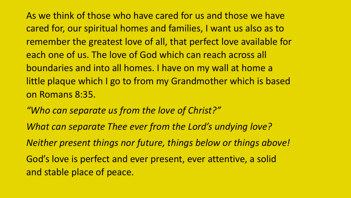As we think of those who have cared for us and those we have cared for, our spiritual homes and families, I want us also as to remember the greatest love of all, that perfect love available for each one of us. The love of God which can reach across all boundaries and into all homes. I have on my wall at home a little plaque which I go to from my Grandmother which is based on Romans 8:35. 

- *"Who can separate us from the love of Christ?"*
- *What can separate Thee ever from the Lord's undying love?*
- *Neither present things nor future, things below or things above!*

God's love is perfect and ever present, ever attentive, a solid and stable place of peace.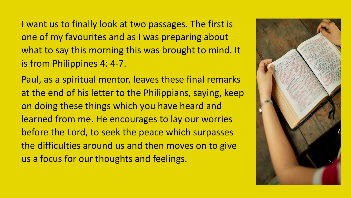I want us to finally look at two passages. The first is one of my favourites and as I was preparing about what to say this morning this was brought to mind. It is from Philippines 4: 4-7.

Paul, as a spiritual mentor, leaves these final remarks at the end of his letter to the Philippians, saying, keep on doing these things which you have heard and learned from me. He encourages to lay our worries before the Lord, to seek the peace which surpasses the difficulties around us and then moves on to give us a focus for our thoughts and feelings.

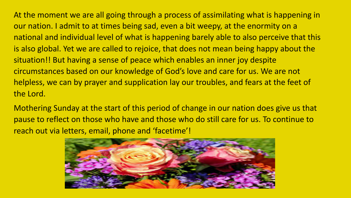At the moment we are all going through a process of assimilating what is happening in our nation. I admit to at times being sad, even a bit weepy, at the enormity on a national and individual level of what is happening barely able to also perceive that this is also global. Yet we are called to rejoice, that does not mean being happy about the situation!! But having a sense of peace which enables an inner joy despite circumstances based on our knowledge of God's love and care for us. We are not helpless, we can by prayer and supplication lay our troubles, and fears at the feet of the Lord.

Mothering Sunday at the start of this period of change in our nation does give us that pause to reflect on those who have and those who do still care for us. To continue to reach out via letters, email, phone and 'facetime'!

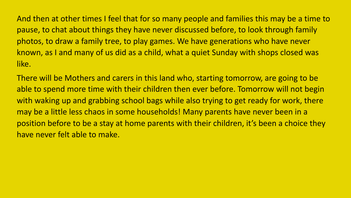And then at other times I feel that for so many people and families this may be a time to pause, to chat about things they have never discussed before, to look through family photos, to draw a family tree, to play games. We have generations who have never known, as I and many of us did as a child, what a quiet Sunday with shops closed was like. 

There will be Mothers and carers in this land who, starting tomorrow, are going to be able to spend more time with their children then ever before. Tomorrow will not begin with waking up and grabbing school bags while also trying to get ready for work, there may be a little less chaos in some households! Many parents have never been in a position before to be a stay at home parents with their children, it's been a choice they have never felt able to make.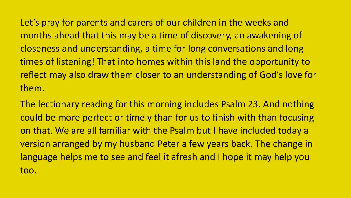Let's pray for parents and carers of our children in the weeks and months ahead that this may be a time of discovery, an awakening of closeness and understanding, a time for long conversations and long times of listening! That into homes within this land the opportunity to reflect may also draw them closer to an understanding of God's love for them. 

The lectionary reading for this morning includes Psalm 23. And nothing could be more perfect or timely than for us to finish with than focusing on that. We are all familiar with the Psalm but I have included today a version arranged by my husband Peter a few years back. The change in language helps me to see and feel it afresh and I hope it may help you too.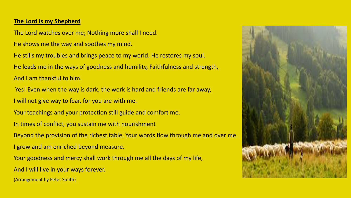## **The Lord is my Shepherd**

The Lord watches over me; Nothing more shall I need.

He shows me the way and soothes my mind.

He stills my troubles and brings peace to my world. He restores my soul. He leads me in the ways of goodness and humility, Faithfulness and strength, And I am thankful to him.

Yes! Even when the way is dark, the work is hard and friends are far away,

I will not give way to fear, for you are with me.

Your teachings and your protection still guide and comfort me.

In times of conflict, you sustain me with nourishment

Beyond the provision of the richest table. Your words flow through me and over me.

I grow and am enriched beyond measure.

Your goodness and mercy shall work through me all the days of my life,

And I will live in your ways forever.

(Arrangement by Peter Smith)

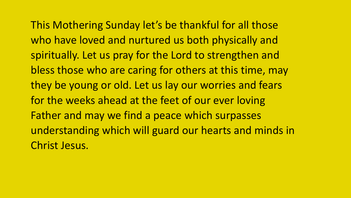This Mothering Sunday let's be thankful for all those who have loved and nurtured us both physically and spiritually. Let us pray for the Lord to strengthen and bless those who are caring for others at this time, may they be young or old. Let us lay our worries and fears for the weeks ahead at the feet of our ever loving Father and may we find a peace which surpasses understanding which will guard our hearts and minds in Christ Jesus.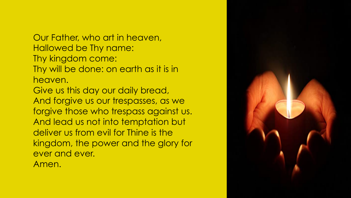Our Father, who art in heaven, Hallowed be Thy name: Thy kingdom come: Thy will be done: on earth as it is in heaven.

Give us this day our daily bread, And forgive us our trespasses, as we forgive those who trespass against us. And lead us not into temptation but deliver us from evil for Thine is the kingdom, the power and the glory for ever and ever.

Amen.